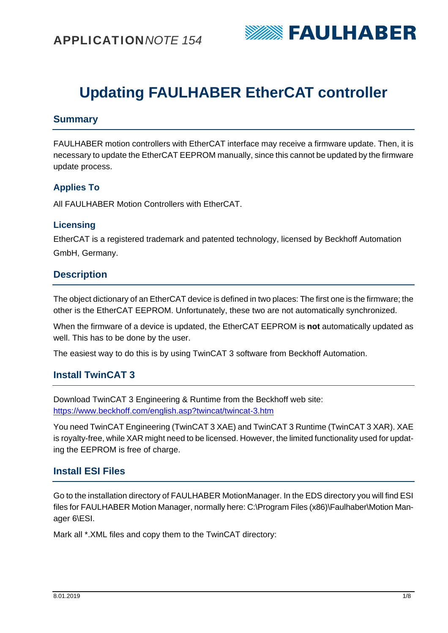

# **Updating FAULHABER EtherCAT controller**

# **Summary**

FAULHABER motion controllers with EtherCAT interface may receive a firmware update. Then, it is necessary to update the EtherCAT EEPROM manually, since this cannot be updated by the firmware update process.

## **Applies To**

All FAULHABER Motion Controllers with EtherCAT.

#### **Licensing**

EtherCAT is a registered trademark and patented technology, licensed by Beckhoff Automation GmbH, Germany.

### **Description**

The object dictionary of an EtherCAT device is defined in two places: The first one is the firmware; the other is the EtherCAT EEPROM. Unfortunately, these two are not automatically synchronized.

When the firmware of a device is updated, the EtherCAT EEPROM is **not** automatically updated as well. This has to be done by the user.

The easiest way to do this is by using TwinCAT 3 software from Beckhoff Automation.

# **Install TwinCAT 3**

Download TwinCAT 3 Engineering & Runtime from the Beckhoff web site: https://www.beckhoff.com/english.asp?twincat/twincat-3.htm

You need TwinCAT Engineering (TwinCAT 3 XAE) and TwinCAT 3 Runtime (TwinCAT 3 XAR). XAE is royalty-free, while XAR might need to be licensed. However, the limited functionality used for updating the EEPROM is free of charge.

### **Install ESI Files**

Go to the installation directory of FAULHABER MotionManager. In the EDS directory you will find ESI files for FAULHABER Motion Manager, normally here: C:\Program Files (x86)\Faulhaber\Motion Manager 6\ESI.

Mark all \*.XML files and copy them to the TwinCAT directory: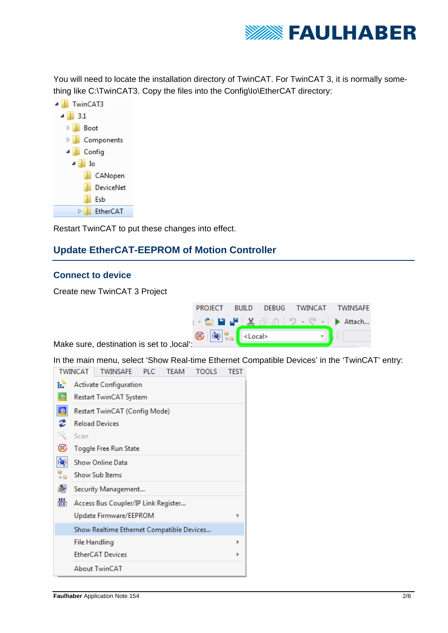

You will need to locate the installation directory of TwinCAT. For TwinCAT 3, it is normally something like C:\TwinCAT3. Copy the files into the Config\Io\EtherCAT directory:



Restart TwinCAT to put these changes into effect.

# **Update EtherCAT-EEPROM of Motion Controller**

#### **Connect to device**

Create new TwinCAT 3 Project

| PROJECT BUILD DEBUG TWINCAT TWINSAFE                                                                                                                                                                                                                                                                                                                                                                                          |  |  |  |  |  |  |
|-------------------------------------------------------------------------------------------------------------------------------------------------------------------------------------------------------------------------------------------------------------------------------------------------------------------------------------------------------------------------------------------------------------------------------|--|--|--|--|--|--|
|                                                                                                                                                                                                                                                                                                                                                                                                                               |  |  |  |  |  |  |
| $\bigcirc$ $\bigcirc$ $\bigcirc$ $\bigcirc$ $\bigcirc$ $\bigcirc$ $\bigcirc$ $\bigcirc$ $\bigcirc$ $\bigcirc$ $\bigcirc$ $\bigcirc$ $\bigcirc$ $\bigcirc$ $\bigcirc$ $\bigcirc$ $\bigcirc$ $\bigcirc$ $\bigcirc$ $\bigcirc$ $\bigcirc$ $\bigcirc$ $\bigcirc$ $\bigcirc$ $\bigcirc$ $\bigcirc$ $\bigcirc$ $\bigcirc$ $\bigcirc$ $\bigcirc$ $\bigcirc$ $\bigcirc$ $\bigcirc$ $\bigcirc$ $\bigcirc$ $\bigcirc$ $\bigcirc$<br>١ľ٠ |  |  |  |  |  |  |

Make sure, destination is set to , local<sup>"</sup>:

In the main menu, select 'Show Real-time Ethernet Compatible Devices' in the 'TwinCAT' entry: TWINCAT TWINGAES BLC TEAM TOOLS TEST

|                                          | <u>I VYIINCAT</u>                                                       | <b>I WINSAFE</b>                                                                | <b>FLU</b> | <b>I CANI</b> | נשטעו | 1 C.O. I |
|------------------------------------------|-------------------------------------------------------------------------|---------------------------------------------------------------------------------|------------|---------------|-------|----------|
| 参                                        | <b>Activate Configuration</b><br><b>Restart TwinCAT System</b>          |                                                                                 |            |               |       |          |
| 拳<br>¢<br>C                              | Scan                                                                    | Restart TwinCAT (Config Mode)<br><b>Reload Devices</b><br>Toggle Free Run State |            |               |       |          |
| $\overline{\mathbf{Q}}$<br>a<br>Ag<br>ஆவ | <b>Show Online Data</b><br><b>Show Sub Items</b><br>Security Management |                                                                                 |            |               |       |          |
| 齶                                        |                                                                         | Access Bus Coupler/IP Link Register<br>Update Firmware/EEPROM                   |            |               |       | Þ        |
|                                          |                                                                         | Show Realtime Ethernet Compatible Devices                                       |            |               |       |          |
|                                          |                                                                         | <b>File Handling</b>                                                            |            |               |       | Þ        |
|                                          | <b>EtherCAT Devices</b>                                                 |                                                                                 |            |               |       |          |
|                                          |                                                                         | <b>About TwinCAT</b>                                                            |            |               |       |          |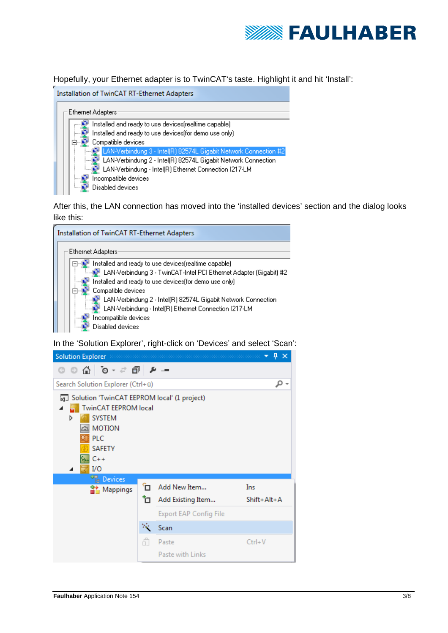

Hopefully, your Ethernet adapter is to TwinCAT's taste. Highlight it and hit 'Install':

| Installation of TwinCAT RT-Ethernet Adapters                     |
|------------------------------------------------------------------|
| Ethernet Adapters                                                |
| Installed and ready to use devices (realtime capable).           |
| Installed and ready to use devices(for demo use only)            |
| Compatible devices                                               |
| LAN-Verbindung 3 - Intel(R) 82574L Gigabit Network Connection #2 |
| LAN-Verbindung 2 - Intel(R) 82574L Gigabit Network Connection    |
| LAN-Verbindung - Intel(R) Ethernet Connection I217-LM            |
| Incompatible devices                                             |
| Disabled devices                                                 |

After this, the LAN connection has moved into the 'installed devices' section and the dialog looks like this:

| Installation of TwinCAT RT-Ethernet Adapters                       |
|--------------------------------------------------------------------|
| Ethernet Adapters                                                  |
| Installed and ready to use devices(realtime capable).              |
| LAN-Verbindung 3 - TwinCAT-Intel PCI Ethernet Adapter (Gigabit) #2 |
| Installed and ready to use devices(for demo use only)              |
| Compatible devices                                                 |
| LAN-Verbindung 2 - Intel(R) 82574L Gigabit Network Connection      |
|                                                                    |
| Incompatible devices                                               |
| Disabled devices                                                   |

In the 'Solution Explorer', right-click on 'Devices' and select 'Scan':

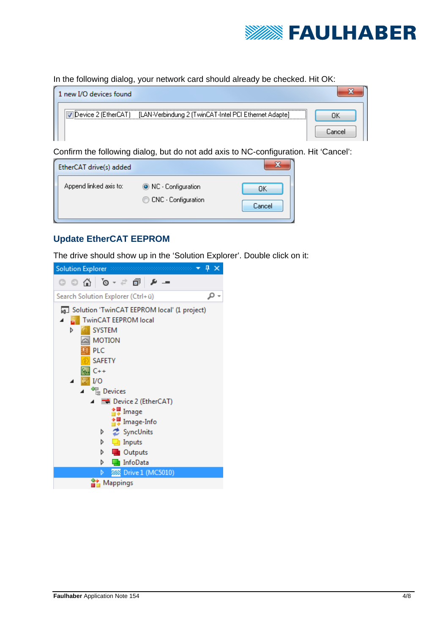

In the following dialog, your network card should already be checked. Hit OK:

| 1 new I/O devices found |                                                                           |  |
|-------------------------|---------------------------------------------------------------------------|--|
|                         | Device 2 (EtherCAT) [LAN-Verbindung 2 (TwinCAT-Intel PCI Ethernet Adapte] |  |

Confirm the following dialog, but do not add axis to NC-configuration. Hit 'Cancel':

| EtherCAT drive(s) added |                                             |              |
|-------------------------|---------------------------------------------|--------------|
| Append linked axis to:  | O NC - Configuration<br>CNC - Configuration | OK<br>Cancel |

# **Update EtherCAT EEPROM**

The drive should show up in the 'Solution Explorer'. Double click on it:

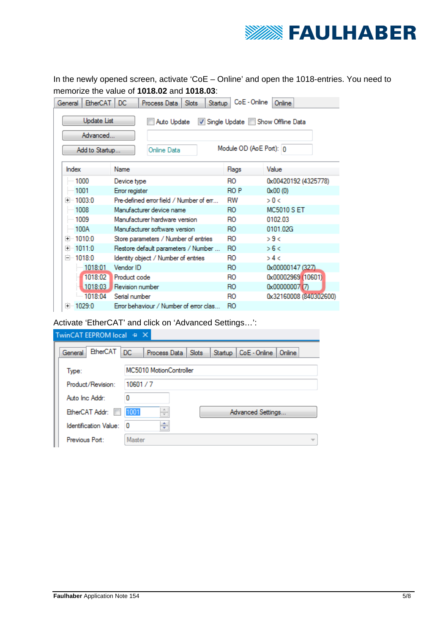

In the newly opened screen, activate 'CoE – Online' and open the 1018-entries. You need to memorize the value of **1018.02** and **1018.03**:

| <b>EtherCAT</b><br>General | DC.<br><b>Slots</b><br>Process Data<br>Startup | CoE - Online            | Online                            |
|----------------------------|------------------------------------------------|-------------------------|-----------------------------------|
| <b>Update List</b>         | Auto Update                                    |                         | V Single Update Show Offline Data |
| Advanced                   |                                                |                         |                                   |
| Add to Startup             | Online Data                                    | Module OD (AoE Port): 0 |                                   |
| Index                      | Name                                           | Flags                   | Value                             |
| — 1000                     | Device type                                    | RO.                     | 0x00420192 (4325778)              |
| $-1001$                    | Error register                                 | RO P                    | 0x00(0)                           |
| ⊞… 1003 0                  | Pre-defined error field / Number of em         | RW                      | > 0 <                             |
| 1008                       | Manufacturer device name                       | RO.                     | <b>MC5010 S FT</b>                |
| $-1009$                    | Manufacturer hardware version.                 | R0                      | 0102.03                           |
| $-100A$                    | Manufacturer software version                  | RO.                     | 0101 02G                          |
| ⊞… 1010:0                  | Store parameters / Number of entries           | RO.                     | >9<                               |
| ⊞… 1011:0                  | Restore default parameters / Number            | RO.                     | >6<                               |
| ⊟…1018:0                   | Identity object / Number of entries            | RO                      | > 4 <                             |
| $-1018:01$                 | Vendor ID                                      | R <sub>O</sub>          | 0x00000147 (327)                  |
| 1018:02                    | Product code                                   | RO.                     | 0x00002969 (10601)                |
| 1018:03                    | Revision number                                | RO.                     | 0x00000007 (7)                    |
| $-1018:04$                 | Serial number                                  | RO                      | 0x32160008 (840302600)            |
| ⊞… 1029:0                  | Error behaviour / Number of error clas         | RO.                     |                                   |

Activate 'EtherCAT' and click on 'Advanced Settings…':

| TwinCAT EEPROM local + ×   |           |                         |       |         |                   |        |  |
|----------------------------|-----------|-------------------------|-------|---------|-------------------|--------|--|
| <b>EtherCAT</b><br>General | <b>DC</b> | Process Data            | Slots | Startup | CoE - Online      | Online |  |
| Type:                      |           | MC5010 MotionController |       |         |                   |        |  |
| Product/Revision:          |           | 10601/7                 |       |         |                   |        |  |
| Auto Inc Addr:             | 0         |                         |       |         |                   |        |  |
| EtherCAT Addr:             | 1001      | $\frac{1}{\sqrt{2}}$    |       |         | Advanced Settings |        |  |
| Identification Value:      | 0         | ÷                       |       |         |                   |        |  |
| Previous Port:             | Master    |                         |       |         |                   |        |  |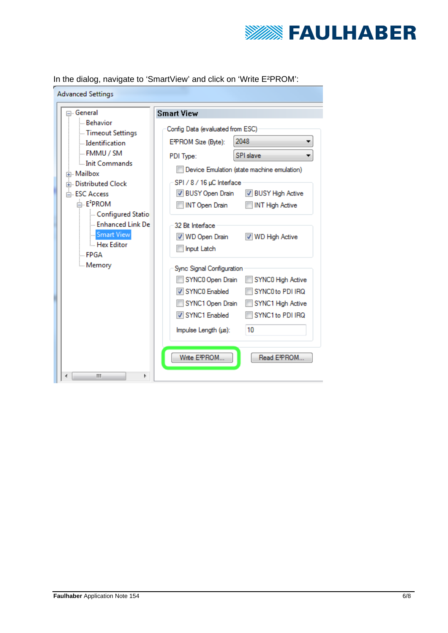

In the dialog, navigate to 'SmartView' and click on 'Write E²PROM':

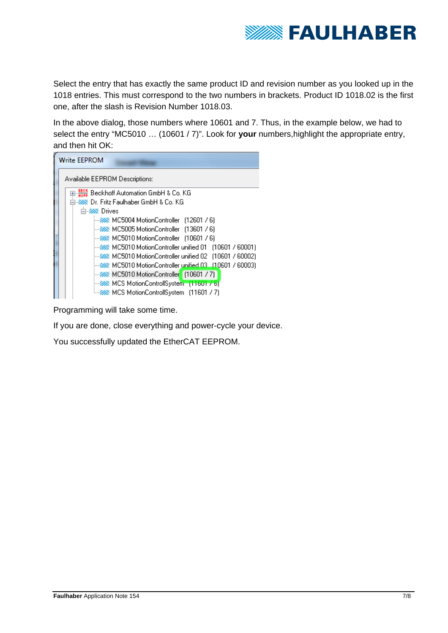

Select the entry that has exactly the same product ID and revision number as you looked up in the 1018 entries. This must correspond to the two numbers in brackets. Product ID 1018.02 is the first one, after the slash is Revision Number 1018.03.

In the above dialog, those numbers where 10601 and 7. Thus, in the example below, we had to select the entry "MC5010 … (10601 / 7)". Look for **your** numbers,highlight the appropriate entry, and then hit OK:

| <b>Write EEPROM</b>                                          |
|--------------------------------------------------------------|
| Available EEPROM Descriptions:                               |
|                                                              |
| 白·※※ Dr. Fritz Faulhaber GmbH & Co. KG                       |
| 白 222 Drives                                                 |
|                                                              |
| <b>E-222 MC5005 MotionController</b> (13601 / 6)             |
| MC5010 MotionController (10601 / 6)                          |
| MC5010 MotionController unified 01 (10601 / 60001)           |
|                                                              |
|                                                              |
| <b>EXAMPLE 2018</b> MC5010 MotionController (10601 / 7)      |
| <b>EXAMPLE MEDITION</b> MCS MotionControllSystem [11601 / 6] |
| — ‱ MCS MotionControllSystem [11601 / 7]                     |

Programming will take some time.

If you are done, close everything and power-cycle your device.

You successfully updated the EtherCAT EEPROM.